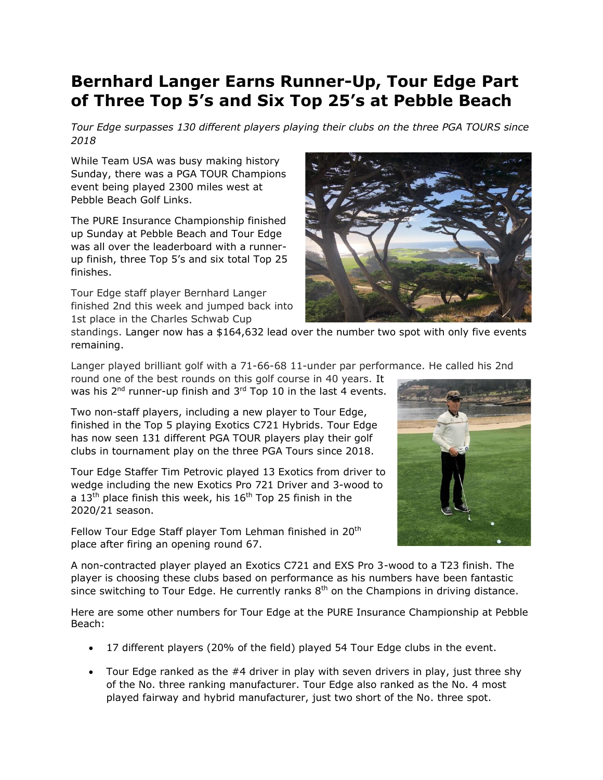## **Bernhard Langer Earns Runner-Up, Tour Edge Part of Three Top 5's and Six Top 25's at Pebble Beach**

*Tour Edge surpasses 130 different players playing their clubs on the three PGA TOURS since 2018*

While Team USA was busy making history Sunday, there was a PGA TOUR Champions event being played 2300 miles west at Pebble Beach Golf Links.

The PURE Insurance Championship finished up Sunday at Pebble Beach and Tour Edge was all over the leaderboard with a runnerup finish, three Top 5's and six total Top 25 finishes.

Tour Edge staff player Bernhard Langer finished 2nd this week and jumped back into 1st place in the Charles Schwab Cup



standings. Langer now has a \$164,632 lead over the number two spot with only five events remaining.

Langer played brilliant golf with a 71-66-68 11-under par performance. He called his 2nd

round one of the best rounds on this golf course in 40 years. It was his  $2<sup>nd</sup>$  runner-up finish and  $3<sup>rd</sup>$  Top 10 in the last 4 events.

Two non-staff players, including a new player to Tour Edge, finished in the Top 5 playing Exotics C721 Hybrids. Tour Edge has now seen 131 different PGA TOUR players play their golf clubs in tournament play on the three PGA Tours since 2018.

Tour Edge Staffer Tim Petrovic played 13 Exotics from driver to wedge including the new Exotics Pro 721 Driver and 3-wood to a  $13<sup>th</sup>$  place finish this week, his  $16<sup>th</sup>$  Top 25 finish in the 2020/21 season.

Fellow Tour Edge Staff player Tom Lehman finished in 20<sup>th</sup> place after firing an opening round 67.



A non-contracted player played an Exotics C721 and EXS Pro 3-wood to a T23 finish. The player is choosing these clubs based on performance as his numbers have been fantastic since switching to Tour Edge. He currently ranks  $8<sup>th</sup>$  on the Champions in driving distance.

Here are some other numbers for Tour Edge at the PURE Insurance Championship at Pebble Beach:

- 17 different players (20% of the field) played 54 Tour Edge clubs in the event.
- Tour Edge ranked as the #4 driver in play with seven drivers in play, just three shy of the No. three ranking manufacturer. Tour Edge also ranked as the No. 4 most played fairway and hybrid manufacturer, just two short of the No. three spot.